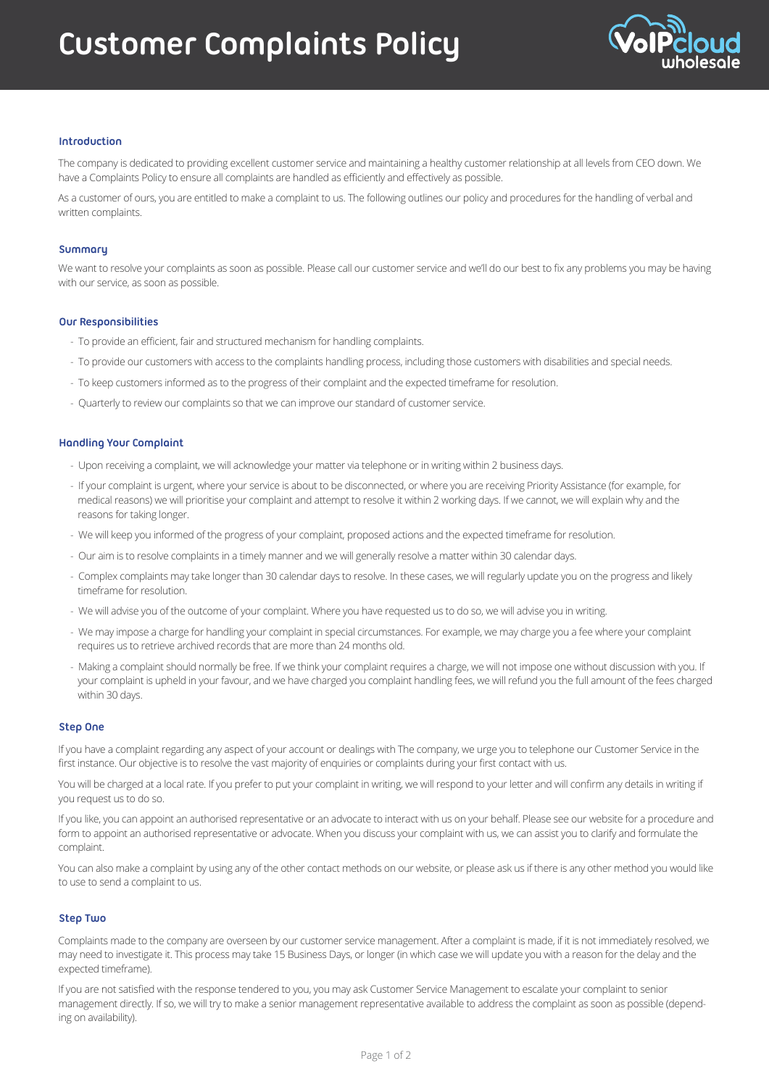# **Customer Complaints Policy**



## **Introduction**

The company is dedicated to providing excellent customer service and maintaining a healthy customer relationship at all levels from CEO down. We have a Complaints Policy to ensure all complaints are handled as efficiently and effectively as possible.

As a customer of ours, you are entitled to make a complaint to us. The following outlines our policy and procedures for the handling of verbal and written complaints.

## **Summary**

We want to resolve your complaints as soon as possible. Please call our customer service and we'll do our best to fix any problems you may be having with our service, as soon as possible.

## **Our Responsibilities**

- To provide an efficient, fair and structured mechanism for handling complaints.
- To provide our customers with access to the complaints handling process, including those customers with disabilities and special needs.
- To keep customers informed as to the progress of their complaint and the expected timeframe for resolution.
- Quarterly to review our complaints so that we can improve our standard of customer service.

## **Handling Your Complaint**

- Upon receiving a complaint, we will acknowledge your matter via telephone or in writing within 2 business days.
- If your complaint is urgent, where your service is about to be disconnected, or where you are receiving Priority Assistance (for example, for medical reasons) we will prioritise your complaint and attempt to resolve it within 2 working days. If we cannot, we will explain why and the reasons for taking longer.
- We will keep you informed of the progress of your complaint, proposed actions and the expected timeframe for resolution.
- Our aim is to resolve complaints in a timely manner and we will generally resolve a matter within 30 calendar days.
- Complex complaints may take longer than 30 calendar days to resolve. In these cases, we will regularly update you on the progress and likely timeframe for resolution.
- We will advise you of the outcome of your complaint. Where you have requested us to do so, we will advise you in writing.
- We may impose a charge for handling your complaint in special circumstances. For example, we may charge you a fee where your complaint requires us to retrieve archived records that are more than 24 months old.
- Making a complaint should normally be free. If we think your complaint requires a charge, we will not impose one without discussion with you. If your complaint is upheld in your favour, and we have charged you complaint handling fees, we will refund you the full amount of the fees charged within 30 days.

#### **Step One**

If you have a complaint regarding any aspect of your account or dealings with The company, we urge you to telephone our Customer Service in the first instance. Our objective is to resolve the vast majority of enquiries or complaints during your first contact with us.

You will be charged at a local rate. If you prefer to put your complaint in writing, we will respond to your letter and will confirm any details in writing if you request us to do so.

If you like, you can appoint an authorised representative or an advocate to interact with us on your behalf. Please see our website for a procedure and form to appoint an authorised representative or advocate. When you discuss your complaint with us, we can assist you to clarify and formulate the complaint.

You can also make a complaint by using any of the other contact methods on our website, or please ask us if there is any other method you would like to use to send a complaint to us.

## **Step Two**

Complaints made to the company are overseen by our customer service management. After a complaint is made, if it is not immediately resolved, we may need to investigate it. This process may take 15 Business Days, or longer (in which case we will update you with a reason for the delay and the expected timeframe).

If you are not satisfied with the response tendered to you, you may ask Customer Service Management to escalate your complaint to senior management directly. If so, we will try to make a senior management representative available to address the complaint as soon as possible (depending on availability).